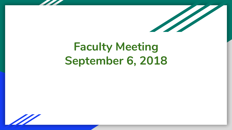

# **Faculty Meeting September 6, 2018**

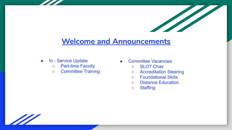

### **Welcome and Announcements**

- **●** In Service Update
	- **○** Part-time Faculty
	- Committee Training
- Committee Vacancies
	- SLOT Chair
	- Accreditation Steering
	- Foundational Skills
	- Distance Education
	- Staffing

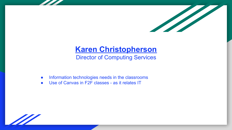

## **Karen Christopherson**

Director of Computing Services

- Information technologies needs in the classrooms
- Use of Canvas in F2F classes as it relates IT

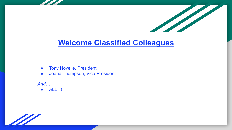

- **•** Tony Novelle, President
- Jeana Thompson, Vice-President

*And…*

● **ALL** !!!

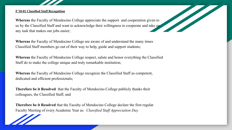### **F'18-01 Classified Staff Recognition**

**Whereas** the Faculty of Mendocino College appreciate the support and cooperation given to us by the Classified Staff and want to acknowledge their willingness to cooperate and take on any task that makes our jobs easier;

The Company of the Company of the Company of the Company of the Company of the Company of the Company of the Company of the Company of the Company of the Company of the Company of the Company of the Company of the Company

**Whereas** the Faculty of Mendocino College are aware of and understand the many times Classified Staff members go out of their way to help, guide and support students;

**Whereas** the Faculty of Mendocino College respect, salute and honor everything the Classified Staff do to make the college unique and truly remarkable institution;

**Whereas** the Faculty of Mendocino College recognize the Classified Staff as competent, dedicated and efficient professionals;

**Therefore be it Resolved** that the Faculty of Mendocino College publicly thanks their colleagues, the Classified Staff, and

**Therefore be it Resolved** that the Faculty of Mendocino College declare the first regular Faculty Meeting of every Academic Year as: *Classified Staff Appreciation Day.*